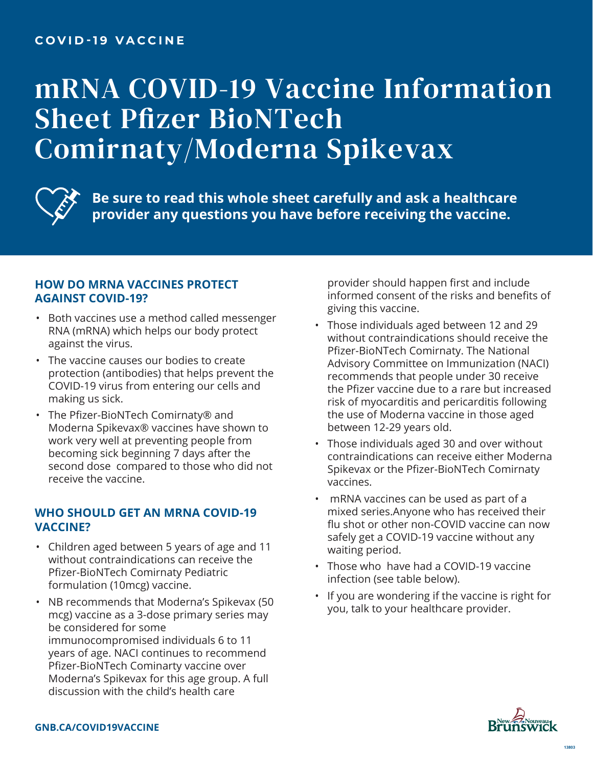## **COVID-19 VACCINE**

# mRNA COVID-19 Vaccine Information Sheet Pfizer BioNTech Comirnaty/Moderna Spikevax



**Be sure to read this whole sheet carefully and ask a healthcare provider any questions you have before receiving the vaccine.**

#### **HOW DO MRNA VACCINES PROTECT AGAINST COVID-19?**

- Both vaccines use a method called messenger RNA (mRNA) which helps our body protect against the virus.
- The vaccine causes our bodies to create protection (antibodies) that helps prevent the COVID-19 virus from entering our cells and making us sick.
- The Pfizer-BioNTech Comirnaty® and Moderna Spikevax® vaccines have shown to work very well at preventing people from becoming sick beginning 7 days after the second dose compared to those who did not receive the vaccine.

#### **WHO SHOULD GET AN MRNA COVID-19 VACCINE?**

- Children aged between 5 years of age and 11 without contraindications can receive the Pfizer-BioNTech Comirnaty Pediatric formulation (10mcg) vaccine.
- NB recommends that Moderna's Spikevax (50 mcg) vaccine as a 3-dose primary series may be considered for some immunocompromised individuals 6 to 11 years of age. NACI continues to recommend Pfizer-BioNTech Cominarty vaccine over Moderna's Spikevax for this age group. A full discussion with the child's health care

provider should happen first and include informed consent of the risks and benefits of giving this vaccine.

- Those individuals aged between 12 and 29 without contraindications should receive the Pfizer-BioNTech Comirnaty. The National Advisory Committee on Immunization (NACI) recommends that people under 30 receive the Pfizer vaccine due to a rare but increased risk of myocarditis and pericarditis following the use of Moderna vaccine in those aged between 12-29 years old.
- Those individuals aged 30 and over without contraindications can receive either Moderna Spikevax or the Pfizer-BioNTech Comirnaty vaccines.
- mRNA vaccines can be used as part of a mixed series.Anyone who has received their flu shot or other non-COVID vaccine can now safely get a COVID-19 vaccine without any waiting period.
- Those who have had a COVID-19 vaccine infection (see table below).
- If you are wondering if the vaccine is right for you, talk to your healthcare provider.

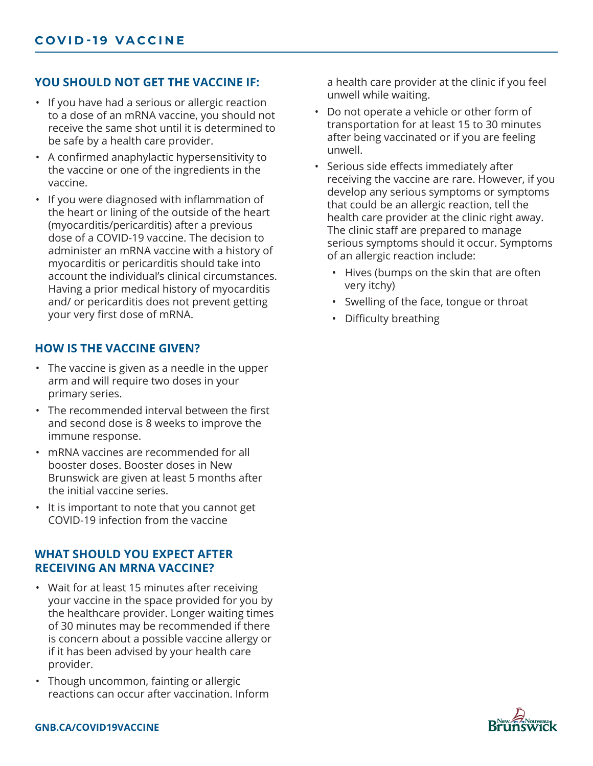## **YOU SHOULD NOT GET THE VACCINE IF:**

- If you have had a serious or allergic reaction to a dose of an mRNA vaccine, you should not receive the same shot until it is determined to be safe by a health care provider.
- A confirmed anaphylactic hypersensitivity to the vaccine or one of the ingredients in the vaccine.
- If you were diagnosed with inflammation of the heart or lining of the outside of the heart (myocarditis/pericarditis) after a previous dose of a COVID-19 vaccine. The decision to administer an mRNA vaccine with a history of myocarditis or pericarditis should take into account the individual's clinical circumstances. Having a prior medical history of myocarditis and/ or pericarditis does not prevent getting your very first dose of mRNA.

# **HOW IS THE VACCINE GIVEN?**

- The vaccine is given as a needle in the upper arm and will require two doses in your primary series.
- The recommended interval between the first and second dose is 8 weeks to improve the immune response.
- mRNA vaccines are recommended for all booster doses. Booster doses in New Brunswick are given at least 5 months after the initial vaccine series.
- It is important to note that you cannot get COVID-19 infection from the vaccine

### **WHAT SHOULD YOU EXPECT AFTER RECEIVING AN MRNA VACCINE?**

- Wait for at least 15 minutes after receiving your vaccine in the space provided for you by the healthcare provider. Longer waiting times of 30 minutes may be recommended if there is concern about a possible vaccine allergy or if it has been advised by your health care provider.
- Though uncommon, fainting or allergic reactions can occur after vaccination. Inform

a health care provider at the clinic if you feel unwell while waiting.

- Do not operate a vehicle or other form of transportation for at least 15 to 30 minutes after being vaccinated or if you are feeling unwell.
- Serious side effects immediately after receiving the vaccine are rare. However, if you develop any serious symptoms or symptoms that could be an allergic reaction, tell the health care provider at the clinic right away. The clinic staff are prepared to manage serious symptoms should it occur. Symptoms of an allergic reaction include:
	- Hives (bumps on the skin that are often very itchy)
	- Swelling of the face, tongue or throat
	- Difficulty breathing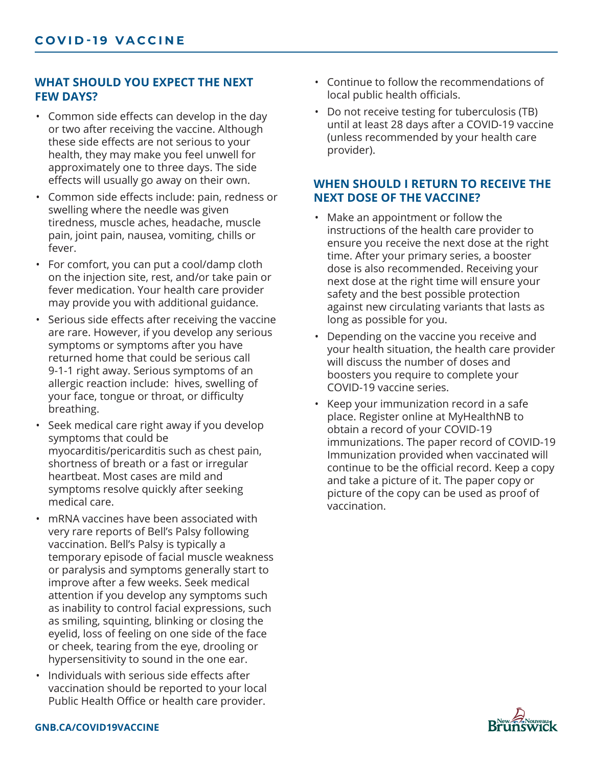### **WHAT SHOULD YOU EXPECT THE NEXT FEW DAYS?**

- Common side effects can develop in the day or two after receiving the vaccine. Although these side effects are not serious to your health, they may make you feel unwell for approximately one to three days. The side effects will usually go away on their own.
- Common side effects include: pain, redness or swelling where the needle was given tiredness, muscle aches, headache, muscle pain, joint pain, nausea, vomiting, chills or fever.
- For comfort, you can put a cool/damp cloth on the injection site, rest, and/or take pain or fever medication. Your health care provider may provide you with additional guidance.
- Serious side effects after receiving the vaccine are rare. However, if you develop any serious symptoms or symptoms after you have returned home that could be serious call 9-1-1 right away. Serious symptoms of an allergic reaction include: hives, swelling of your face, tongue or throat, or difficulty breathing.
- Seek medical care right away if you develop symptoms that could be myocarditis/pericarditis such as chest pain, shortness of breath or a fast or irregular heartbeat. Most cases are mild and symptoms resolve quickly after seeking medical care.
- mRNA vaccines have been associated with very rare reports of Bell's Palsy following vaccination. Bell's Palsy is typically a temporary episode of facial muscle weakness or paralysis and symptoms generally start to improve after a few weeks. Seek medical attention if you develop any symptoms such as inability to control facial expressions, such as smiling, squinting, blinking or closing the eyelid, loss of feeling on one side of the face or cheek, tearing from the eye, drooling or hypersensitivity to sound in the one ear.
- Individuals with serious side effects after vaccination should be reported to your local Public Health Office or health care provider.
- Continue to follow the recommendations of local public health officials.
- Do not receive testing for tuberculosis (TB) until at least 28 days after a COVID-19 vaccine (unless recommended by your health care provider).

# **WHEN SHOULD I RETURN TO RECEIVE THE NEXT DOSE OF THE VACCINE?**

- Make an appointment or follow the instructions of the health care provider to ensure you receive the next dose at the right time. After your primary series, a booster dose is also recommended. Receiving your next dose at the right time will ensure your safety and the best possible protection against new circulating variants that lasts as long as possible for you.
- Depending on the vaccine you receive and your health situation, the health care provider will discuss the number of doses and boosters you require to complete your COVID-19 vaccine series.
- Keep your immunization record in a safe place. Register online at MyHealthNB to obtain a record of your COVID-19 immunizations. The paper record of COVID-19 Immunization provided when vaccinated will continue to be the official record. Keep a copy and take a picture of it. The paper copy or picture of the copy can be used as proof of vaccination.